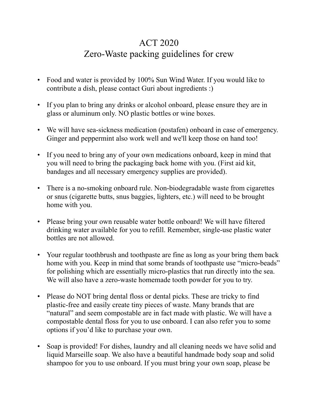## ACT 2020 Zero-Waste packing guidelines for crew

- Food and water is provided by 100% Sun Wind Water. If you would like to contribute a dish, please contact Guri about ingredients :)
- If you plan to bring any drinks or alcohol onboard, please ensure they are in glass or aluminum only. NO plastic bottles or wine boxes.
- We will have sea-sickness medication (postafen) onboard in case of emergency. Ginger and peppermint also work well and we'll keep those on hand too!
- If you need to bring any of your own medications onboard, keep in mind that you will need to bring the packaging back home with you. (First aid kit, bandages and all necessary emergency supplies are provided).
- There is a no-smoking onboard rule. Non-biodegradable waste from cigarettes or snus (cigarette butts, snus baggies, lighters, etc.) will need to be brought home with you.
- Please bring your own reusable water bottle onboard! We will have filtered drinking water available for you to refill. Remember, single-use plastic water bottles are not allowed.
- Your regular toothbrush and toothpaste are fine as long as your bring them back home with you. Keep in mind that some brands of toothpaste use "micro-beads" for polishing which are essentially micro-plastics that run directly into the sea. We will also have a zero-waste homemade tooth powder for you to try.
- Please do NOT bring dental floss or dental picks. These are tricky to find plastic-free and easily create tiny pieces of waste. Many brands that are "natural" and seem compostable are in fact made with plastic. We will have a compostable dental floss for you to use onboard. I can also refer you to some options if you'd like to purchase your own.
- Soap is provided! For dishes, laundry and all cleaning needs we have solid and liquid Marseille soap. We also have a beautiful handmade body soap and solid shampoo for you to use onboard. If you must bring your own soap, please be